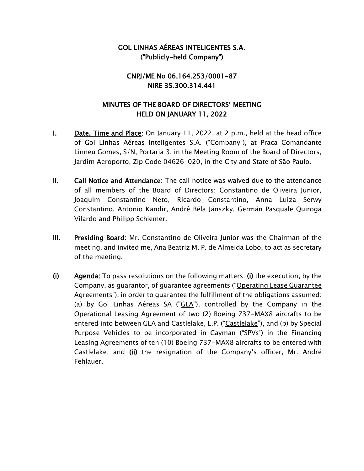## GOL LINHAS AÉREAS INTELIGENTES S.A. ("Publicly-held Company")

## CNPJ/ME No 06.164.253/0001-87 NIRE 35.300.314.441

## MINUTES OF THE BOARD OF DIRECTORS' MEETING HELD ON JANUARY 11, 2022

- **I.** Date, Time and Place: On January 11, 2022, at 2 p.m., held at the head office of Gol Linhas Aéreas Inteligentes S.A. ("Company"), at Praça Comandante Linneu Gomes, S/N, Portaria 3, in the Meeting Room of the Board of Directors, Jardim Aeroporto, Zip Code 04626-020, in the City and State of São Paulo.
- II. Call Notice and Attendance: The call notice was waived due to the attendance of all members of the Board of Directors: Constantino de Oliveira Junior, Joaquim Constantino Neto, Ricardo Constantino, Anna Luiza Serwy Constantino, Antonio Kandir, André Béla Jánszky, Germán Pasquale Quiroga Vilardo and Philipp Schiemer.
- III. Presiding Board: Mr. Constantino de Oliveira Junior was the Chairman of the meeting, and invited me, Ana Beatriz M. P. de Almeida Lobo, to act as secretary of the meeting.
- (i) Agenda: To pass resolutions on the following matters: (i) the execution, by the Company, as guarantor, of guarantee agreements ("Operating Lease Guarantee Agreements"), in order to guarantee the fulfillment of the obligations assumed: (a) by Gol Linhas Aéreas SA ("GLA"), controlled by the Company in the Operational Leasing Agreement of two (2) Boeing 737-MAX8 aircrafts to be entered into between GLA and Castlelake, L.P. ("Castlelake"), and (b) by Special Purpose Vehicles to be incorporated in Cayman ("SPVs') in the Financing Leasing Agreements of ten (10) Boeing 737-MAX8 aircrafts to be entered with Castlelake; and (ii) the resignation of the Company's officer, Mr. André Fehlauer.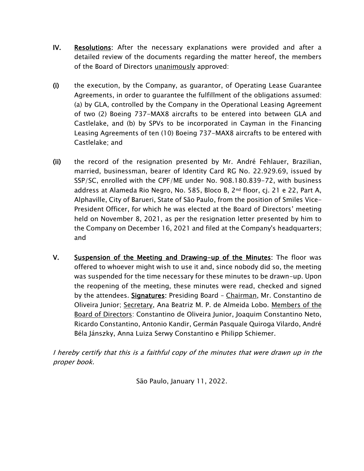- IV. Resolutions: After the necessary explanations were provided and after a detailed review of the documents regarding the matter hereof, the members of the Board of Directors unanimously approved:
- (i) the execution, by the Company, as guarantor, of Operating Lease Guarantee Agreements, in order to guarantee the fulfillment of the obligations assumed: (a) by GLA, controlled by the Company in the Operational Leasing Agreement of two (2) Boeing 737-MAX8 aircrafts to be entered into between GLA and Castlelake, and (b) by SPVs to be incorporated in Cayman in the Financing Leasing Agreements of ten (10) Boeing 737-MAX8 aircrafts to be entered with Castlelake; and
- (ii) the record of the resignation presented by Mr. André Fehlauer, Brazilian, married, businessman, bearer of Identity Card RG No. 22.929.69, issued by SSP/SC, enrolled with the CPF/ME under No. 908.180.839-72, with business address at Alameda Rio Negro, No. 585, Bloco B, 2nd floor, cj. 21 e 22, Part A, Alphaville, City of Barueri, State of São Paulo, from the position of Smiles Vice-President Officer, for which he was elected at the Board of Directors' meeting held on November 8, 2021, as per the resignation letter presented by him to the Company on December 16, 2021 and filed at the Company's headquarters; and
- V. Suspension of the Meeting and Drawing-up of the Minutes: The floor was offered to whoever might wish to use it and, since nobody did so, the meeting was suspended for the time necessary for these minutes to be drawn-up. Upon the reopening of the meeting, these minutes were read, checked and signed by the attendees. Signatures: Presiding Board – Chairman, Mr. Constantino de Oliveira Junior; Secretary, Ana Beatriz M. P. de Almeida Lobo. Members of the Board of Directors: Constantino de Oliveira Junior, Joaquim Constantino Neto, Ricardo Constantino, Antonio Kandir, Germán Pasquale Quiroga Vilardo, André Béla Jánszky, Anna Luiza Serwy Constantino e Philipp Schiemer.

I hereby certify that this is a faithful copy of the minutes that were drawn up in the proper book.

São Paulo, January 11, 2022.